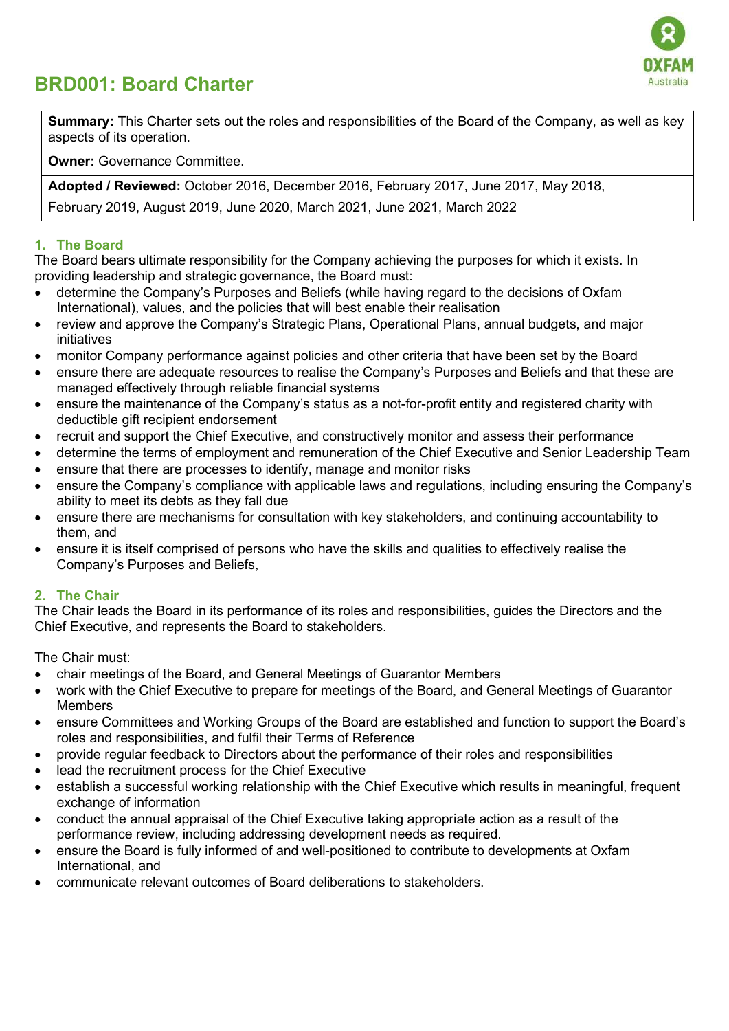

# BRD001: Board Charter

Summary: This Charter sets out the roles and responsibilities of the Board of the Company, as well as key aspects of its operation.

Owner: Governance Committee.

Adopted / Reviewed: October 2016, December 2016, February 2017, June 2017, May 2018,

February 2019, August 2019, June 2020, March 2021, June 2021, March 2022

### 1. The Board

The Board bears ultimate responsibility for the Company achieving the purposes for which it exists. In providing leadership and strategic governance, the Board must:

- determine the Company's Purposes and Beliefs (while having regard to the decisions of Oxfam International), values, and the policies that will best enable their realisation
- review and approve the Company's Strategic Plans, Operational Plans, annual budgets, and major initiatives
- monitor Company performance against policies and other criteria that have been set by the Board
- ensure there are adequate resources to realise the Company's Purposes and Beliefs and that these are managed effectively through reliable financial systems
- ensure the maintenance of the Company's status as a not-for-profit entity and registered charity with deductible gift recipient endorsement
- recruit and support the Chief Executive, and constructively monitor and assess their performance
- determine the terms of employment and remuneration of the Chief Executive and Senior Leadership Team
- ensure that there are processes to identify, manage and monitor risks
- ensure the Company's compliance with applicable laws and regulations, including ensuring the Company's ability to meet its debts as they fall due
- ensure there are mechanisms for consultation with key stakeholders, and continuing accountability to them, and
- ensure it is itself comprised of persons who have the skills and qualities to effectively realise the Company's Purposes and Beliefs,

## 2. The Chair

The Chair leads the Board in its performance of its roles and responsibilities, guides the Directors and the Chief Executive, and represents the Board to stakeholders.

The Chair must:

- chair meetings of the Board, and General Meetings of Guarantor Members
- work with the Chief Executive to prepare for meetings of the Board, and General Meetings of Guarantor Members
- ensure Committees and Working Groups of the Board are established and function to support the Board's roles and responsibilities, and fulfil their Terms of Reference
- provide regular feedback to Directors about the performance of their roles and responsibilities
- lead the recruitment process for the Chief Executive
- establish a successful working relationship with the Chief Executive which results in meaningful, frequent exchange of information
- conduct the annual appraisal of the Chief Executive taking appropriate action as a result of the performance review, including addressing development needs as required.
- ensure the Board is fully informed of and well-positioned to contribute to developments at Oxfam International, and
- communicate relevant outcomes of Board deliberations to stakeholders.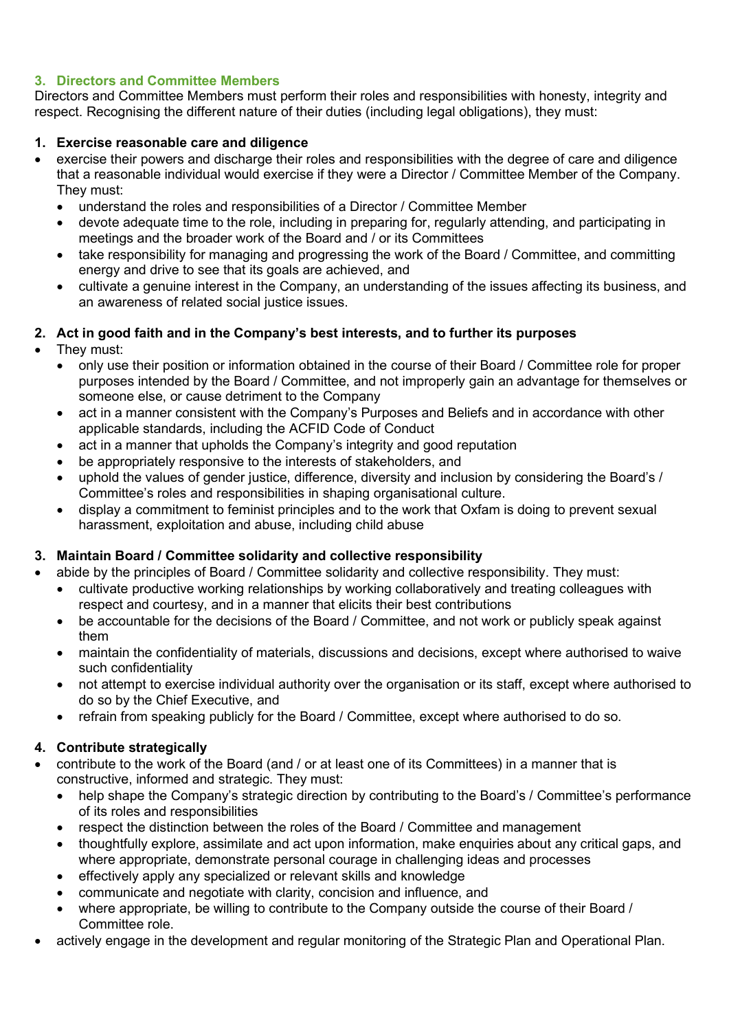## 3. Directors and Committee Members

Directors and Committee Members must perform their roles and responsibilities with honesty, integrity and respect. Recognising the different nature of their duties (including legal obligations), they must:

## 1. Exercise reasonable care and diligence

- exercise their powers and discharge their roles and responsibilities with the degree of care and diligence that a reasonable individual would exercise if they were a Director / Committee Member of the Company. They must:
	- understand the roles and responsibilities of a Director / Committee Member
	- devote adequate time to the role, including in preparing for, regularly attending, and participating in meetings and the broader work of the Board and / or its Committees
	- take responsibility for managing and progressing the work of the Board / Committee, and committing energy and drive to see that its goals are achieved, and
	- cultivate a genuine interest in the Company, an understanding of the issues affecting its business, and an awareness of related social justice issues.

## 2. Act in good faith and in the Company's best interests, and to further its purposes

- They must:
	- only use their position or information obtained in the course of their Board / Committee role for proper purposes intended by the Board / Committee, and not improperly gain an advantage for themselves or someone else, or cause detriment to the Company
	- act in a manner consistent with the Company's Purposes and Beliefs and in accordance with other applicable standards, including the ACFID Code of Conduct
	- act in a manner that upholds the Company's integrity and good reputation
	- be appropriately responsive to the interests of stakeholders, and
	- uphold the values of gender justice, difference, diversity and inclusion by considering the Board's / Committee's roles and responsibilities in shaping organisational culture.
	- display a commitment to feminist principles and to the work that Oxfam is doing to prevent sexual harassment, exploitation and abuse, including child abuse

## 3. Maintain Board / Committee solidarity and collective responsibility

- abide by the principles of Board / Committee solidarity and collective responsibility. They must:
	- cultivate productive working relationships by working collaboratively and treating colleagues with respect and courtesy, and in a manner that elicits their best contributions
	- be accountable for the decisions of the Board / Committee, and not work or publicly speak against them
	- maintain the confidentiality of materials, discussions and decisions, except where authorised to waive such confidentiality
	- not attempt to exercise individual authority over the organisation or its staff, except where authorised to do so by the Chief Executive, and
	- refrain from speaking publicly for the Board / Committee, except where authorised to do so.

## 4. Contribute strategically

- contribute to the work of the Board (and / or at least one of its Committees) in a manner that is constructive, informed and strategic. They must:
	- help shape the Company's strategic direction by contributing to the Board's / Committee's performance of its roles and responsibilities
	- respect the distinction between the roles of the Board / Committee and management
	- thoughtfully explore, assimilate and act upon information, make enquiries about any critical gaps, and where appropriate, demonstrate personal courage in challenging ideas and processes
	- effectively apply any specialized or relevant skills and knowledge
	- communicate and negotiate with clarity, concision and influence, and
	- where appropriate, be willing to contribute to the Company outside the course of their Board / Committee role.
- actively engage in the development and regular monitoring of the Strategic Plan and Operational Plan.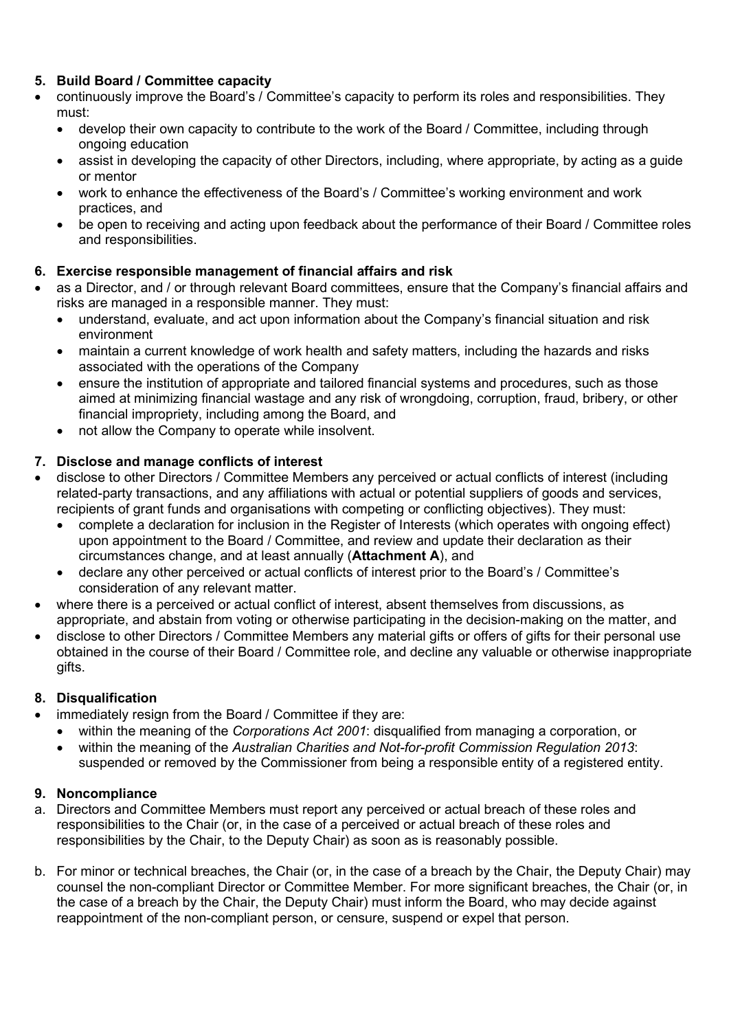## 5. Build Board / Committee capacity

- continuously improve the Board's / Committee's capacity to perform its roles and responsibilities. They must:
	- develop their own capacity to contribute to the work of the Board / Committee, including through ongoing education
	- assist in developing the capacity of other Directors, including, where appropriate, by acting as a guide or mentor
	- work to enhance the effectiveness of the Board's / Committee's working environment and work practices, and
	- be open to receiving and acting upon feedback about the performance of their Board / Committee roles and responsibilities.

## 6. Exercise responsible management of financial affairs and risk

- as a Director, and / or through relevant Board committees, ensure that the Company's financial affairs and risks are managed in a responsible manner. They must:
	- understand, evaluate, and act upon information about the Company's financial situation and risk environment
	- maintain a current knowledge of work health and safety matters, including the hazards and risks associated with the operations of the Company
	- ensure the institution of appropriate and tailored financial systems and procedures, such as those aimed at minimizing financial wastage and any risk of wrongdoing, corruption, fraud, bribery, or other financial impropriety, including among the Board, and
	- not allow the Company to operate while insolvent.

## 7. Disclose and manage conflicts of interest

- disclose to other Directors / Committee Members any perceived or actual conflicts of interest (including related-party transactions, and any affiliations with actual or potential suppliers of goods and services, recipients of grant funds and organisations with competing or conflicting objectives). They must:
	- complete a declaration for inclusion in the Register of Interests (which operates with ongoing effect) upon appointment to the Board / Committee, and review and update their declaration as their circumstances change, and at least annually (Attachment A), and
	- declare any other perceived or actual conflicts of interest prior to the Board's / Committee's consideration of any relevant matter.
- where there is a perceived or actual conflict of interest, absent themselves from discussions, as appropriate, and abstain from voting or otherwise participating in the decision-making on the matter, and
- disclose to other Directors / Committee Members any material gifts or offers of gifts for their personal use obtained in the course of their Board / Committee role, and decline any valuable or otherwise inappropriate gifts.

## 8. Disqualification

- immediately resign from the Board / Committee if they are:
	- within the meaning of the Corporations Act 2001: disqualified from managing a corporation, or
	- within the meaning of the Australian Charities and Not-for-profit Commission Regulation 2013: suspended or removed by the Commissioner from being a responsible entity of a registered entity.

## 9. Noncompliance

- a. Directors and Committee Members must report any perceived or actual breach of these roles and responsibilities to the Chair (or, in the case of a perceived or actual breach of these roles and responsibilities by the Chair, to the Deputy Chair) as soon as is reasonably possible.
- b. For minor or technical breaches, the Chair (or, in the case of a breach by the Chair, the Deputy Chair) may counsel the non-compliant Director or Committee Member. For more significant breaches, the Chair (or, in the case of a breach by the Chair, the Deputy Chair) must inform the Board, who may decide against reappointment of the non-compliant person, or censure, suspend or expel that person.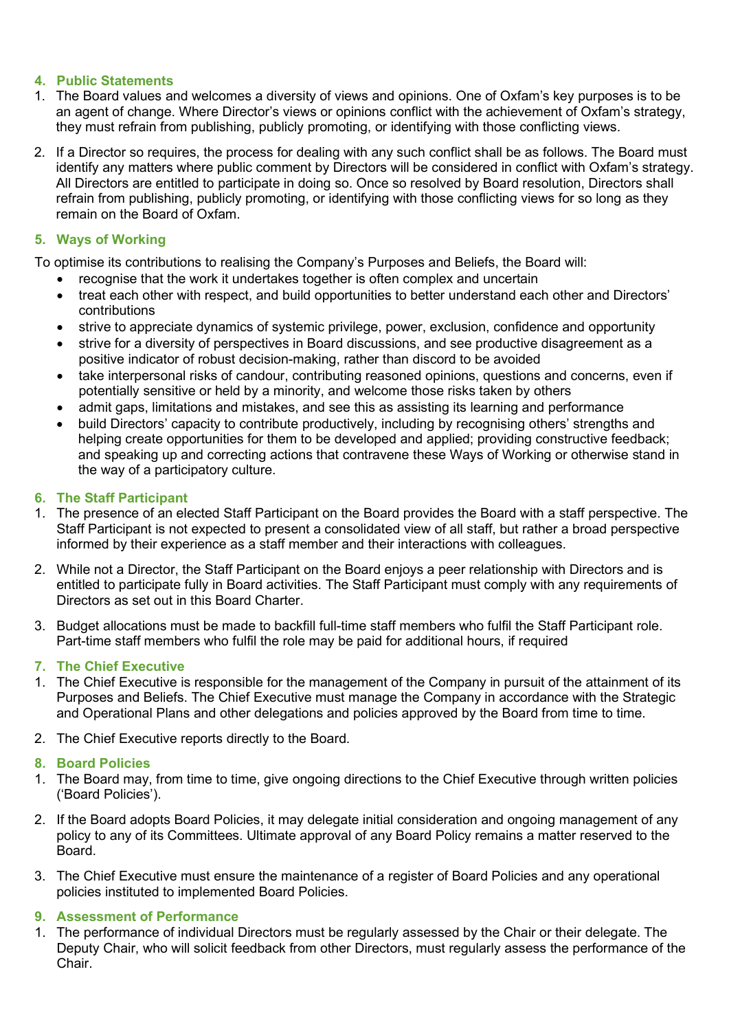### 4. Public Statements

- 1. The Board values and welcomes a diversity of views and opinions. One of Oxfam's key purposes is to be an agent of change. Where Director's views or opinions conflict with the achievement of Oxfam's strategy, they must refrain from publishing, publicly promoting, or identifying with those conflicting views.
- 2. If a Director so requires, the process for dealing with any such conflict shall be as follows. The Board must identify any matters where public comment by Directors will be considered in conflict with Oxfam's strategy. All Directors are entitled to participate in doing so. Once so resolved by Board resolution, Directors shall refrain from publishing, publicly promoting, or identifying with those conflicting views for so long as they remain on the Board of Oxfam.

### 5. Ways of Working

To optimise its contributions to realising the Company's Purposes and Beliefs, the Board will:

- recognise that the work it undertakes together is often complex and uncertain
- treat each other with respect, and build opportunities to better understand each other and Directors' contributions
- strive to appreciate dynamics of systemic privilege, power, exclusion, confidence and opportunity
- strive for a diversity of perspectives in Board discussions, and see productive disagreement as a positive indicator of robust decision-making, rather than discord to be avoided
- take interpersonal risks of candour, contributing reasoned opinions, questions and concerns, even if potentially sensitive or held by a minority, and welcome those risks taken by others
- admit gaps, limitations and mistakes, and see this as assisting its learning and performance
- build Directors' capacity to contribute productively, including by recognising others' strengths and helping create opportunities for them to be developed and applied; providing constructive feedback; and speaking up and correcting actions that contravene these Ways of Working or otherwise stand in the way of a participatory culture.

#### 6. The Staff Participant

- 1. The presence of an elected Staff Participant on the Board provides the Board with a staff perspective. The Staff Participant is not expected to present a consolidated view of all staff, but rather a broad perspective informed by their experience as a staff member and their interactions with colleagues.
- 2. While not a Director, the Staff Participant on the Board enjoys a peer relationship with Directors and is entitled to participate fully in Board activities. The Staff Participant must comply with any requirements of Directors as set out in this Board Charter.
- 3. Budget allocations must be made to backfill full-time staff members who fulfil the Staff Participant role. Part-time staff members who fulfil the role may be paid for additional hours, if required

#### 7. The Chief Executive

- 1. The Chief Executive is responsible for the management of the Company in pursuit of the attainment of its Purposes and Beliefs. The Chief Executive must manage the Company in accordance with the Strategic and Operational Plans and other delegations and policies approved by the Board from time to time.
- 2. The Chief Executive reports directly to the Board.

#### 8. Board Policies

- 1. The Board may, from time to time, give ongoing directions to the Chief Executive through written policies ('Board Policies').
- 2. If the Board adopts Board Policies, it may delegate initial consideration and ongoing management of any policy to any of its Committees. Ultimate approval of any Board Policy remains a matter reserved to the Board.
- 3. The Chief Executive must ensure the maintenance of a register of Board Policies and any operational policies instituted to implemented Board Policies.

## 9. Assessment of Performance

1. The performance of individual Directors must be regularly assessed by the Chair or their delegate. The Deputy Chair, who will solicit feedback from other Directors, must regularly assess the performance of the Chair.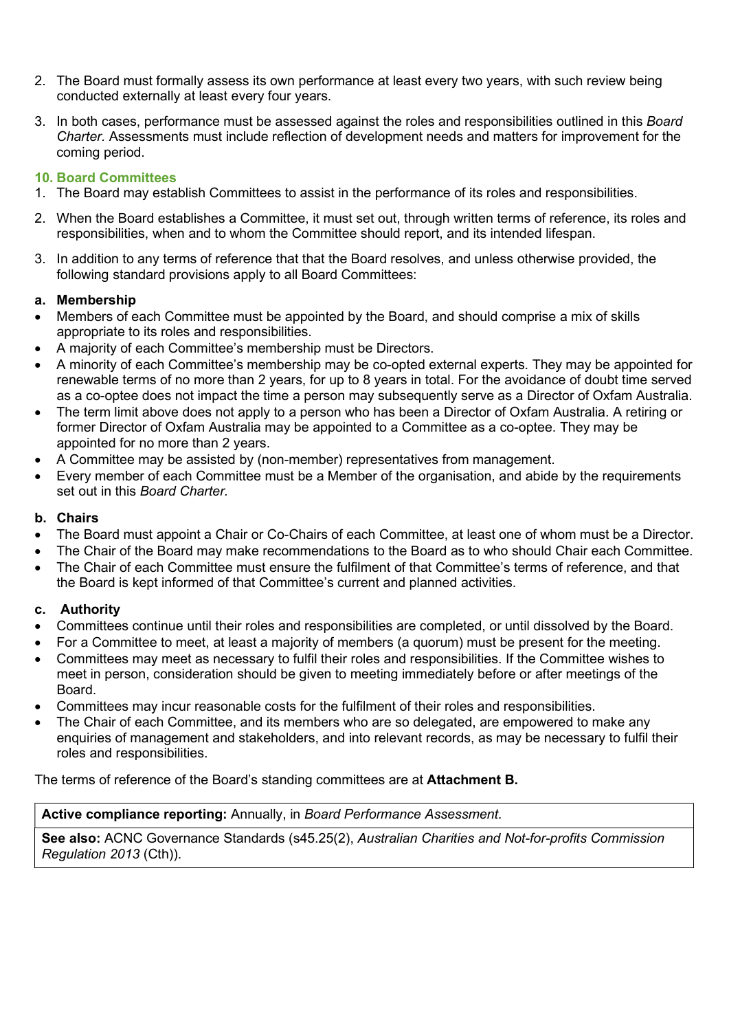- 2. The Board must formally assess its own performance at least every two years, with such review being conducted externally at least every four years.
- 3. In both cases, performance must be assessed against the roles and responsibilities outlined in this Board Charter. Assessments must include reflection of development needs and matters for improvement for the coming period.

#### 10. Board Committees

- 1. The Board may establish Committees to assist in the performance of its roles and responsibilities.
- 2. When the Board establishes a Committee, it must set out, through written terms of reference, its roles and responsibilities, when and to whom the Committee should report, and its intended lifespan.
- 3. In addition to any terms of reference that that the Board resolves, and unless otherwise provided, the following standard provisions apply to all Board Committees:

#### a. Membership

- Members of each Committee must be appointed by the Board, and should comprise a mix of skills appropriate to its roles and responsibilities.
- A majority of each Committee's membership must be Directors.
- A minority of each Committee's membership may be co-opted external experts. They may be appointed for renewable terms of no more than 2 years, for up to 8 years in total. For the avoidance of doubt time served as a co-optee does not impact the time a person may subsequently serve as a Director of Oxfam Australia.
- The term limit above does not apply to a person who has been a Director of Oxfam Australia. A retiring or former Director of Oxfam Australia may be appointed to a Committee as a co-optee. They may be appointed for no more than 2 years.
- A Committee may be assisted by (non-member) representatives from management.
- Every member of each Committee must be a Member of the organisation, and abide by the requirements set out in this Board Charter

#### b. Chairs

- The Board must appoint a Chair or Co-Chairs of each Committee, at least one of whom must be a Director.
- The Chair of the Board may make recommendations to the Board as to who should Chair each Committee.
- The Chair of each Committee must ensure the fulfilment of that Committee's terms of reference, and that the Board is kept informed of that Committee's current and planned activities.

## c. Authority

- Committees continue until their roles and responsibilities are completed, or until dissolved by the Board.
- For a Committee to meet, at least a majority of members (a quorum) must be present for the meeting.
- Committees may meet as necessary to fulfil their roles and responsibilities. If the Committee wishes to meet in person, consideration should be given to meeting immediately before or after meetings of the Board.
- Committees may incur reasonable costs for the fulfilment of their roles and responsibilities.
- The Chair of each Committee, and its members who are so delegated, are empowered to make any enquiries of management and stakeholders, and into relevant records, as may be necessary to fulfil their roles and responsibilities.

The terms of reference of the Board's standing committees are at Attachment B.

#### Active compliance reporting: Annually, in Board Performance Assessment.

See also: ACNC Governance Standards (s45.25(2), Australian Charities and Not-for-profits Commission Regulation 2013 (Cth)).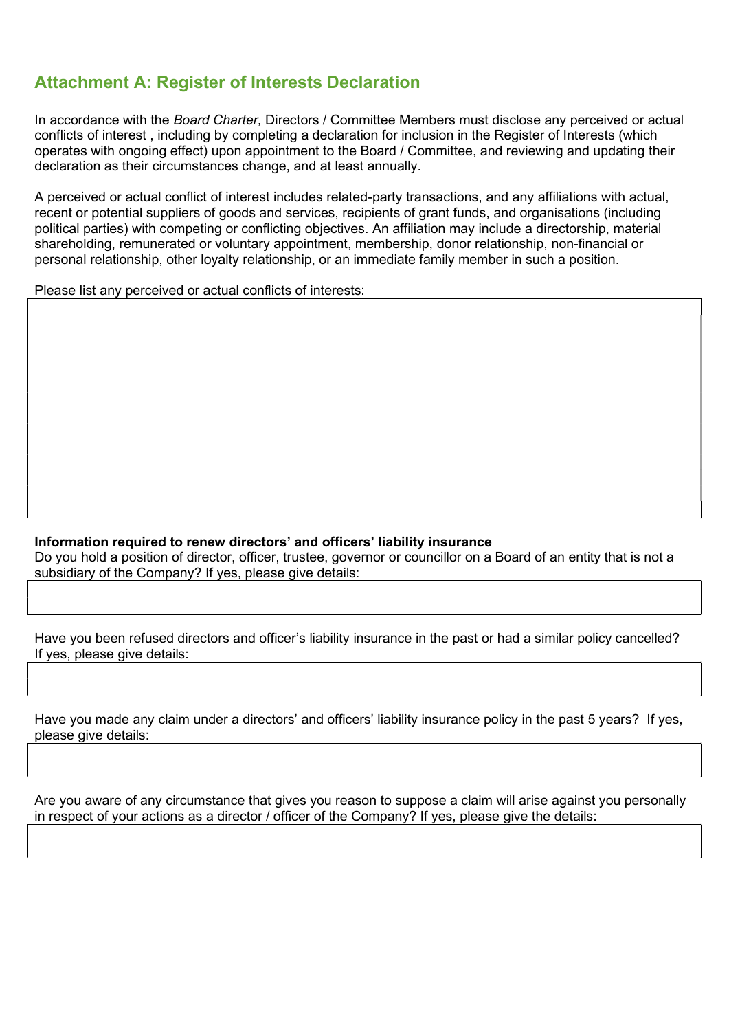## Attachment A: Register of Interests Declaration

In accordance with the Board Charter, Directors / Committee Members must disclose any perceived or actual conflicts of interest , including by completing a declaration for inclusion in the Register of Interests (which operates with ongoing effect) upon appointment to the Board / Committee, and reviewing and updating their declaration as their circumstances change, and at least annually.

A perceived or actual conflict of interest includes related-party transactions, and any affiliations with actual, recent or potential suppliers of goods and services, recipients of grant funds, and organisations (including political parties) with competing or conflicting objectives. An affiliation may include a directorship, material shareholding, remunerated or voluntary appointment, membership, donor relationship, non-financial or personal relationship, other loyalty relationship, or an immediate family member in such a position.

Please list any perceived or actual conflicts of interests:

#### Information required to renew directors' and officers' liability insurance

Do you hold a position of director, officer, trustee, governor or councillor on a Board of an entity that is not a subsidiary of the Company? If yes, please give details:

Have you been refused directors and officer's liability insurance in the past or had a similar policy cancelled? If yes, please give details:

|                      | Have you made any claim under a directors' and officers' liability insurance policy in the past 5 years? If yes, |  |  |  |
|----------------------|------------------------------------------------------------------------------------------------------------------|--|--|--|
| please give details: |                                                                                                                  |  |  |  |

Are you aware of any circumstance that gives you reason to suppose a claim will arise against you personally in respect of your actions as a director / officer of the Company? If yes, please give the details: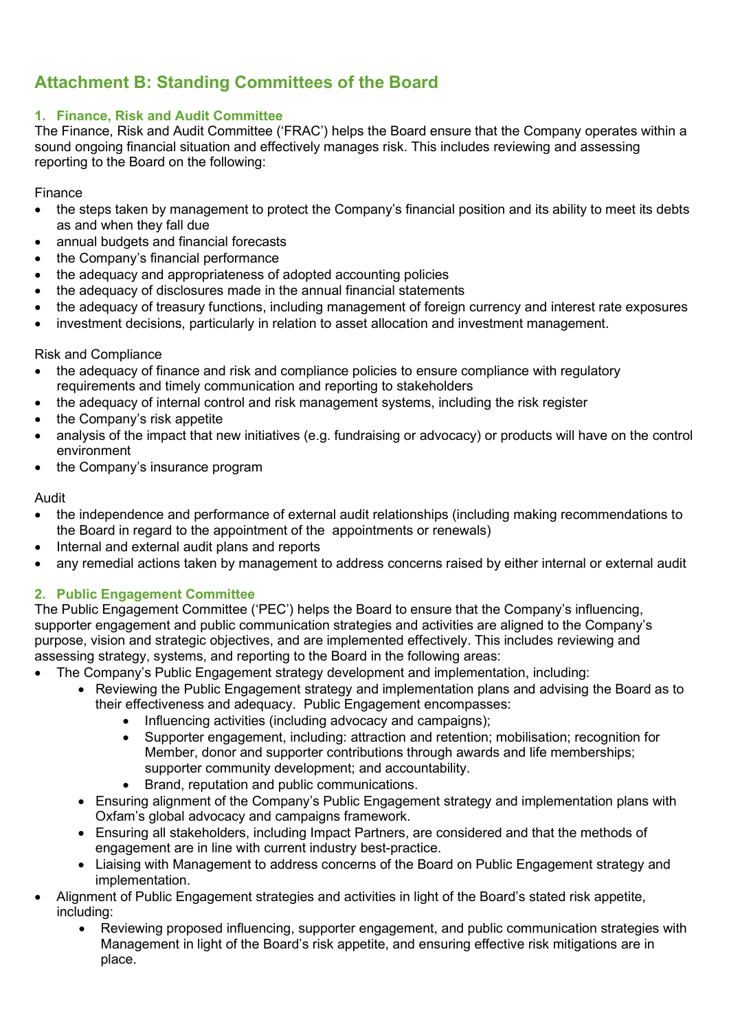## Attachment B: Standing Committees of the Board

## 1. Finance, Risk and Audit Committee

The Finance, Risk and Audit Committee ('FRAC') helps the Board ensure that the Company operates within a sound ongoing financial situation and effectively manages risk. This includes reviewing and assessing reporting to the Board on the following:

Finance

- the steps taken by management to protect the Company's financial position and its ability to meet its debts as and when they fall due
- annual budgets and financial forecasts
- the Company's financial performance
- the adequacy and appropriateness of adopted accounting policies
- the adequacy of disclosures made in the annual financial statements
- the adequacy of treasury functions, including management of foreign currency and interest rate exposures
- investment decisions, particularly in relation to asset allocation and investment management.

#### Risk and Compliance

- the adequacy of finance and risk and compliance policies to ensure compliance with regulatory requirements and timely communication and reporting to stakeholders
- the adequacy of internal control and risk management systems, including the risk register
- the Company's risk appetite
- analysis of the impact that new initiatives (e.g. fundraising or advocacy) or products will have on the control environment
- the Company's insurance program

#### Audit

- the independence and performance of external audit relationships (including making recommendations to the Board in regard to the appointment of the appointments or renewals)
- Internal and external audit plans and reports
- any remedial actions taken by management to address concerns raised by either internal or external audit

## 2. Public Engagement Committee

The Public Engagement Committee ('PEC') helps the Board to ensure that the Company's influencing, supporter engagement and public communication strategies and activities are aligned to the Company's purpose, vision and strategic objectives, and are implemented effectively. This includes reviewing and assessing strategy, systems, and reporting to the Board in the following areas:

- The Company's Public Engagement strategy development and implementation, including:
	- Reviewing the Public Engagement strategy and implementation plans and advising the Board as to their effectiveness and adequacy. Public Engagement encompasses:
		- Influencing activities (including advocacy and campaigns);
		- Supporter engagement, including: attraction and retention; mobilisation; recognition for Member, donor and supporter contributions through awards and life memberships; supporter community development; and accountability.
		- Brand, reputation and public communications.
	- Ensuring alignment of the Company's Public Engagement strategy and implementation plans with Oxfam's global advocacy and campaigns framework.
	- Ensuring all stakeholders, including Impact Partners, are considered and that the methods of engagement are in line with current industry best-practice.
	- Liaising with Management to address concerns of the Board on Public Engagement strategy and implementation.
- Alignment of Public Engagement strategies and activities in light of the Board's stated risk appetite, including:
	- Reviewing proposed influencing, supporter engagement, and public communication strategies with Management in light of the Board's risk appetite, and ensuring effective risk mitigations are in place.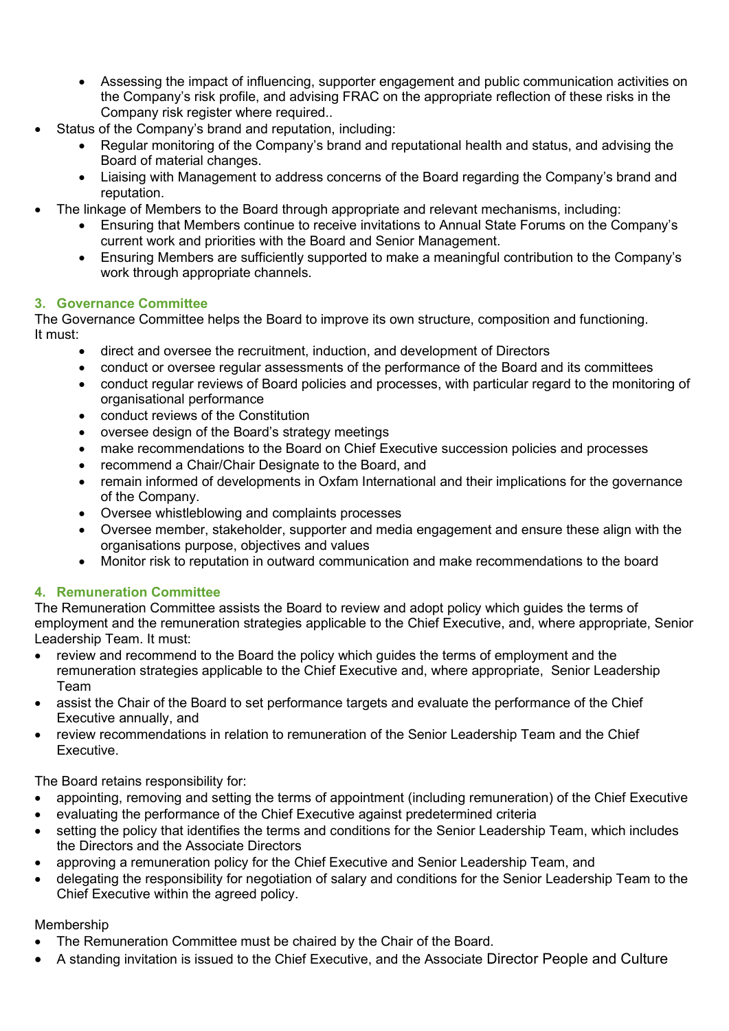- Assessing the impact of influencing, supporter engagement and public communication activities on the Company's risk profile, and advising FRAC on the appropriate reflection of these risks in the Company risk register where required..
- Status of the Company's brand and reputation, including:
	- Regular monitoring of the Company's brand and reputational health and status, and advising the Board of material changes.
	- Liaising with Management to address concerns of the Board regarding the Company's brand and reputation.
	- The linkage of Members to the Board through appropriate and relevant mechanisms, including:
		- Ensuring that Members continue to receive invitations to Annual State Forums on the Company's current work and priorities with the Board and Senior Management.
		- Ensuring Members are sufficiently supported to make a meaningful contribution to the Company's work through appropriate channels.

#### 3. Governance Committee

The Governance Committee helps the Board to improve its own structure, composition and functioning. It must:

- direct and oversee the recruitment, induction, and development of Directors
- conduct or oversee regular assessments of the performance of the Board and its committees
- conduct regular reviews of Board policies and processes, with particular regard to the monitoring of organisational performance
- conduct reviews of the Constitution
- oversee design of the Board's strategy meetings
- make recommendations to the Board on Chief Executive succession policies and processes
- recommend a Chair/Chair Designate to the Board, and
- remain informed of developments in Oxfam International and their implications for the governance of the Company.
- Oversee whistleblowing and complaints processes
- Oversee member, stakeholder, supporter and media engagement and ensure these align with the organisations purpose, objectives and values
- Monitor risk to reputation in outward communication and make recommendations to the board

## 4. Remuneration Committee

The Remuneration Committee assists the Board to review and adopt policy which guides the terms of employment and the remuneration strategies applicable to the Chief Executive, and, where appropriate, Senior Leadership Team. It must:

- review and recommend to the Board the policy which guides the terms of employment and the remuneration strategies applicable to the Chief Executive and, where appropriate, Senior Leadership Team
- assist the Chair of the Board to set performance targets and evaluate the performance of the Chief Executive annually, and
- review recommendations in relation to remuneration of the Senior Leadership Team and the Chief **Executive**

The Board retains responsibility for:

- appointing, removing and setting the terms of appointment (including remuneration) of the Chief Executive
- evaluating the performance of the Chief Executive against predetermined criteria
- setting the policy that identifies the terms and conditions for the Senior Leadership Team, which includes the Directors and the Associate Directors
- approving a remuneration policy for the Chief Executive and Senior Leadership Team, and
- delegating the responsibility for negotiation of salary and conditions for the Senior Leadership Team to the Chief Executive within the agreed policy.

#### Membership

- The Remuneration Committee must be chaired by the Chair of the Board.
- A standing invitation is issued to the Chief Executive, and the Associate Director People and Culture